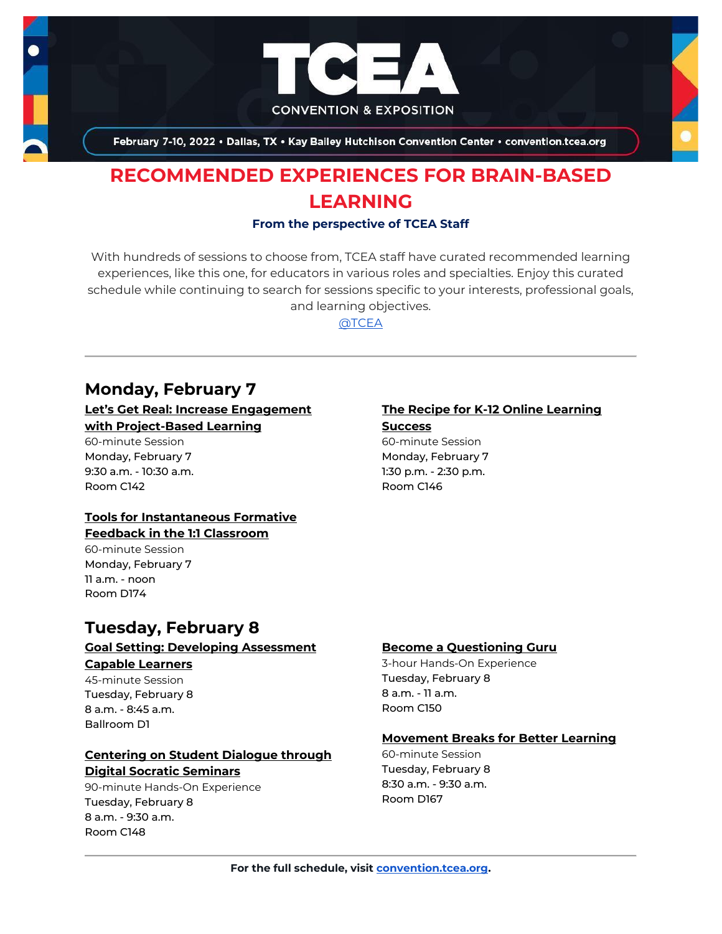

February 7-10, 2022 . Dallas, TX . Kay Bailey Hutchison Convention Center . convention.tcea.org

# **RECOMMENDED EXPERIENCES FOR BRAIN-BASED LEARNING**

#### **From the perspective of TCEA Staff**

With hundreds of sessions to choose from, TCEA staff have curated recommended learning experiences, like this one, for educators in various roles and specialties. Enjoy this curated schedule while continuing to search for sessions specific to your interests, professional goals, and learning objectives.

[@TCEA](https://twitter.com/TCEA)

## **Monday, February 7**

#### **[Let's Get Real: Increase Engagement](https://register.tcea.org/2022/session_list.cfm?session_key=023C7A7A-F04D-A206-2B64-6A58CDEC5321&session_date=Monday,%20Feb%2007,%202022)  [with Project-Based Learning](https://register.tcea.org/2022/session_list.cfm?session_key=023C7A7A-F04D-A206-2B64-6A58CDEC5321&session_date=Monday,%20Feb%2007,%202022)**

60-minute Session Monday, February 7 9:30 a.m. - 10:30 a.m. Room C142

### **[Tools for Instantaneous Formative](https://register.tcea.org/2022/session_list.cfm?session_key=0243674D-F04D-A206-2B64-09403802B23B&session_date=Monday,%20Feb%2007,%202022)**

## **[Feedback in the 1:1 Classroom](https://register.tcea.org/2022/session_list.cfm?session_key=0243674D-F04D-A206-2B64-09403802B23B&session_date=Monday,%20Feb%2007,%202022)**

60-minute Session Monday, February 7 11 a.m. - noon Room D174

#### **[The Recipe for K-12 Online Learning](https://register.tcea.org/2022/session_list.cfm?session_key=024616E4-F04D-A206-2B64-7FC8CBE4278B&session_date=Monday,%20Feb%2007,%202022)  [Success](https://register.tcea.org/2022/session_list.cfm?session_key=024616E4-F04D-A206-2B64-7FC8CBE4278B&session_date=Monday,%20Feb%2007,%202022)**

60-minute Session Monday, February 7 1:30 p.m. - 2:30 p.m. Room C146

## **Tuesday, February 8**

## **[Goal Setting: Developing Assessment](https://register.tcea.org/2022/session_list.cfm?session_key=0238AC1A-F04D-A206-2B64-AB9F63572959&session_date=Tuesday,%20Feb%2008,%202022)**

#### **[Capable Learners](https://register.tcea.org/2022/session_list.cfm?session_key=0238AC1A-F04D-A206-2B64-AB9F63572959&session_date=Tuesday,%20Feb%2008,%202022)**

45-minute Session Tuesday, February 8 8 a.m. - 8:45 a.m. Ballroom D1

## **[Centering on Student Dialogue through](https://register.tcea.org/2022/session_list.cfm?session_key=0233077C-F04D-A206-2B64-DD2527A246C0&session_date=Tuesday,%20Feb%2008,%202022)  [Digital Socratic Seminars](https://register.tcea.org/2022/session_list.cfm?session_key=0233077C-F04D-A206-2B64-DD2527A246C0&session_date=Tuesday,%20Feb%2008,%202022)**

90-minute Hands-On Experience Tuesday, February 8 8 a.m. - 9:30 a.m. Room C148

#### **[Become a Questioning Guru](https://register.tcea.org/2022/session_list.cfm?session_key=02317D13-F04D-A206-2B64-55AFD821DD03&session_date=Tuesday,%20Feb%2008,%202022)**

3-hour Hands-On Experience Tuesday, February 8 8 a.m. - 11 a.m. Room C150

### **[Movement Breaks for Better Learning](https://register.tcea.org/2022/session_list.cfm?session_key=EEF58873-F04D-A206-2B64-A1E026304635&session_date=Tuesday,%20Feb%2008,%202022)**

60-minute Session Tuesday, February 8 8:30 a.m. - 9:30 a.m. Room D167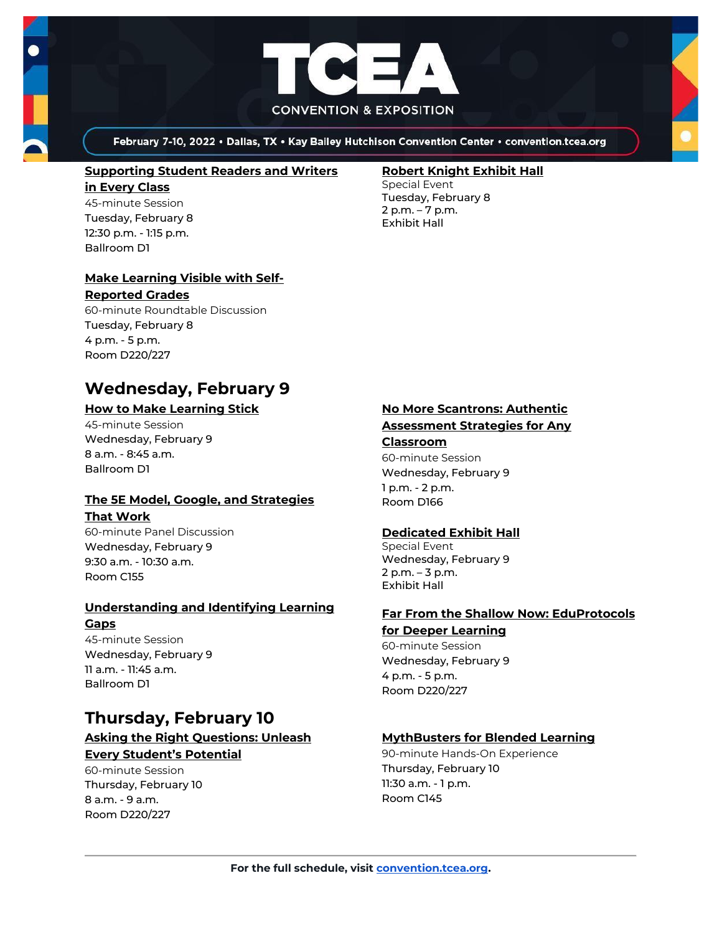

February 7-10, 2022 . Dallas, TX . Kay Bailey Hutchison Convention Center . convention.tcea.org

### **[Supporting Student Readers and Writers](https://register.tcea.org/2022/session_list.cfm?session_key=CBC88EE5-F04D-A206-2B64-A6631F8C2BDF&session_date=Tuesday,%20Feb%2008,%202022)**

#### **[in Every Class](https://register.tcea.org/2022/session_list.cfm?session_key=CBC88EE5-F04D-A206-2B64-A6631F8C2BDF&session_date=Tuesday,%20Feb%2008,%202022)** 45-minute Session Tuesday, February 8 12:30 p.m. - 1:15 p.m. Ballroom D1

## **[Make Learning Visible with Self-](https://register.tcea.org/2022/session_list.cfm?session_key=1F813208-F04D-A206-2B64-51214496D807&session_date=Tuesday,%20Feb%2008,%202022)**

#### **[Reported Grades](https://register.tcea.org/2022/session_list.cfm?session_key=1F813208-F04D-A206-2B64-51214496D807&session_date=Tuesday,%20Feb%2008,%202022)**

60-minute Roundtable Discussion Tuesday, February 8 4 p.m. - 5 p.m. Room D220/227

## **Wednesday, February 9**

## **[How to Make Learning Stick](https://register.tcea.org/2022/session_list.cfm?session_key=0239CCCB-F04D-A206-2B64-DB4E1243673F&session_date=Wednesday,%20Feb%2009,%202022)**

45-minute Session Wednesday, February 9 8 a.m. - 8:45 a.m. Ballroom D1

## **[The 5E Model, Google, and Strategies](https://register.tcea.org/2022/session_list.cfm?session_key=EF3A8A66-F04D-A206-2B64-8C641EC48F61&session_date=Wednesday,%20Feb%2009,%202022)**

### **[That Work](https://register.tcea.org/2022/session_list.cfm?session_key=EF3A8A66-F04D-A206-2B64-8C641EC48F61&session_date=Wednesday,%20Feb%2009,%202022)**

60-minute Panel Discussion Wednesday, February 9 9:30 a.m. - 10:30 a.m. Room C155

## **[Understanding and Identifying Learning](https://register.tcea.org/2022/session_list.cfm?session_key=C7EF0583-F04D-A206-2B64-666E7EA5D359&session_date=Wednesday,%20Feb%2009,%202022)  [Gaps](https://register.tcea.org/2022/session_list.cfm?session_key=C7EF0583-F04D-A206-2B64-666E7EA5D359&session_date=Wednesday,%20Feb%2009,%202022)**

45-minute Session Wednesday, February 9 11 a.m. - 11:45 a.m. Ballroom D1

## **Thursday, February 10**

## **[Asking the Right Questions: Unleash](https://register.tcea.org/2022/session_list.cfm?session_key=0231385F-F04D-A206-2B64-5EA11CC4CB7C&session_date=Thursday,%20Feb%2010,%202022)  [Every Student's Potential](https://register.tcea.org/2022/session_list.cfm?session_key=0231385F-F04D-A206-2B64-5EA11CC4CB7C&session_date=Thursday,%20Feb%2010,%202022)**

60-minute Session Thursday, February 10 8 a.m. - 9 a.m. Room D220/227

#### **[Robert Knight Exhibit Hall](https://register.tcea.org/2022/session_list.cfm?session_key=61CDF249-F04D-A206-2B64-15D6559D2515&session_date=Tuesday,%20Feb%2008,%202022)**

Special Event Tuesday, February 8 2 p.m. – 7 p.m. Exhibit Hall

## **[No More Scantrons: Authentic](https://register.tcea.org/2022/session_list.cfm?session_key=023DC9EE-F04D-A206-2B64-F9EC4970DA38&session_date=Wednesday,%20Feb%2009,%202022)**

## **[Assessment Strategies for Any](https://register.tcea.org/2022/session_list.cfm?session_key=023DC9EE-F04D-A206-2B64-F9EC4970DA38&session_date=Wednesday,%20Feb%2009,%202022)**

## **[Classroom](https://register.tcea.org/2022/session_list.cfm?session_key=023DC9EE-F04D-A206-2B64-F9EC4970DA38&session_date=Wednesday,%20Feb%2009,%202022)** 60-minute Session

Wednesday, February 9 1 p.m. - 2 p.m. Room D166

## **[Dedicated Exhibit Hall](https://register.tcea.org/2022/session_list.cfm?session_key=61CDD8E6-F04D-A206-2B64-74AAAD8173D7&session_date=Wednesday,%20Feb%2009,%202022)**

Special Event Wednesday, February 9 2 p.m. – 3 p.m. Exhibit Hall

### **[Far From the Shallow Now: EduProtocols](https://register.tcea.org/2022/session_list.cfm?session_key=023789AC-F04D-A206-2B64-500D55BFEC32&session_date=Wednesday,%20Feb%2009,%202022)  [for Deeper Learning](https://register.tcea.org/2022/session_list.cfm?session_key=023789AC-F04D-A206-2B64-500D55BFEC32&session_date=Wednesday,%20Feb%2009,%202022)**

60-minute Session Wednesday, February 9 4 p.m. - 5 p.m. Room D220/227

## **[MythBusters for Blended Learning](https://register.tcea.org/2022/session_list.cfm?session_key=023DA3F9-F04D-A206-2B64-CC6612195390&session_date=Thursday,%20Feb%2010,%202022)**

90-minute Hands-On Experience Thursday, February 10 11:30 a.m. - 1 p.m. Room C145